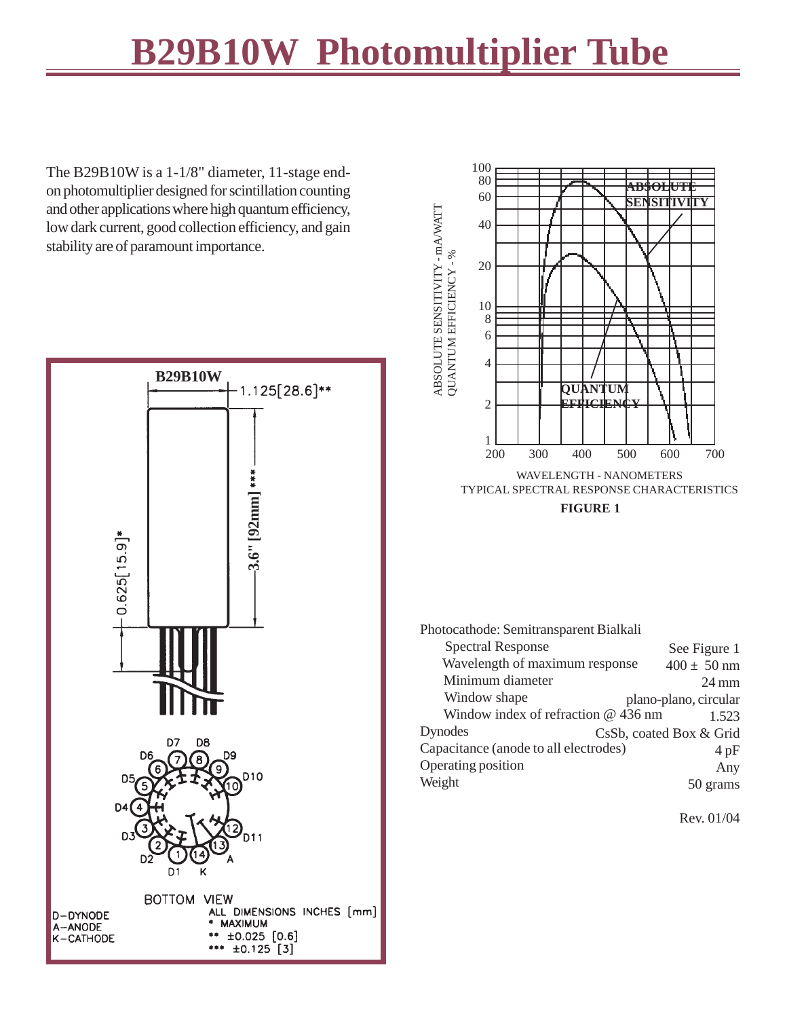## **B29B01W Photomultiplier Tube B29B10W**

The B29B10W is a 1-1/8" diameter, 11-stage endon photomultiplier designed for scintillation counting and other applications where high quantum efficiency, low dark current, good collection efficiency, and gain stability are of paramount importance.





**FIGURE 1**

Photocathode: Semitransparent Bialkali

| <b>Spectral Response</b>              | See Figure 1            |
|---------------------------------------|-------------------------|
| Wavelength of maximum response        | $400 \pm 50$ nm         |
| Minimum diameter                      | $24 \text{ mm}$         |
| Window shape                          | plano-plano, circular   |
| Window index of refraction @ 436 nm   | 1.523                   |
| Dynodes                               | CsSb, coated Box & Grid |
| Capacitance (anode to all electrodes) | 4pF                     |
| Operating position                    | Any                     |
| Weight                                | grams                   |

Rev. 01/04